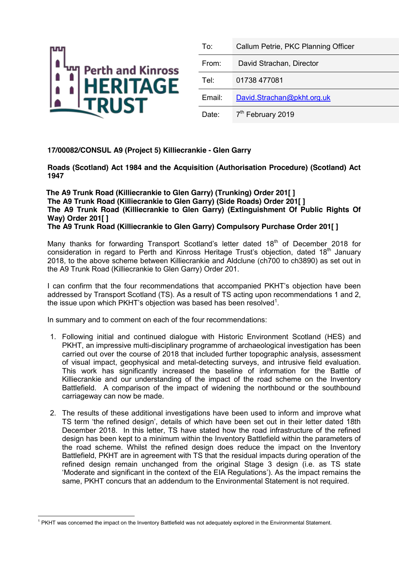

| To:    | Callum Petrie, PKC Planning Officer |
|--------|-------------------------------------|
| From:  | David Strachan, Director            |
| Tel:   | 01738 477081                        |
| Email: | David.Strachan@pkht.org.uk          |
| Date:  | 7 <sup>th</sup> February 2019       |

## **17/00082/CONSUL A9 (Project 5) Killiecrankie - Glen Garry**

**Roads (Scotland) Act 1984 and the Acquisition (Authorisation Procedure) (Scotland) Act 1947**

 **The A9 Trunk Road (Killiecrankie to Glen Garry) (Trunking) Order 201[ ] The A9 Trunk Road (Killiecrankie to Glen Garry) (Side Roads) Order 201[ ] The A9 Trunk Road (Killiecrankie to Glen Garry) (Extinguishment Of Public Rights Of Way) Order 201[ ] The A9 Trunk Road (Killiecrankie to Glen Garry) Compulsory Purchase Order 201[ ]**

Many thanks for forwarding Transport Scotland's letter dated 18<sup>th</sup> of December 2018 for consideration in regard to Perth and Kinross Heritage Trust's objection, dated 18<sup>th</sup> January 2018, to the above scheme between Killiecrankie and Aldclune (ch700 to ch3890) as set out in the A9 Trunk Road (Killiecrankie to Glen Garry) Order 201.

I can confirm that the four recommendations that accompanied PKHT's objection have been addressed by Transport Scotland (TS). As a result of TS acting upon recommendations 1 and 2, the issue upon which PKHT's objection was based has been resolved<sup>1</sup>.

In summary and to comment on each of the four recommendations:

- 1. Following initial and continued dialogue with Historic Environment Scotland (HES) and PKHT, an impressive multi-disciplinary programme of archaeological investigation has been carried out over the course of 2018 that included further topographic analysis, assessment of visual impact, geophysical and metal-detecting surveys, and intrusive field evaluation. This work has significantly increased the baseline of information for the Battle of Killiecrankie and our understanding of the impact of the road scheme on the Inventory Battlefield. A comparison of the impact of widening the northbound or the southbound carriageway can now be made.
- 2. The results of these additional investigations have been used to inform and improve what TS term 'the refined design', details of which have been set out in their letter dated 18th December 2018. In this letter, TS have stated how the road infrastructure of the refined design has been kept to a minimum within the Inventory Battlefield within the parameters of the road scheme. Whilst the refined design does reduce the impact on the Inventory Battlefield, PKHT are in agreement with TS that the residual impacts during operation of the refined design remain unchanged from the original Stage 3 design (i.e. as TS state 'Moderate and significant in the context of the EIA Regulations'). As the impact remains the same, PKHT concurs that an addendum to the Environmental Statement is not required.

<sup>&</sup>lt;sup>1</sup> PKHT was concerned the impact on the Inventory Battlefield was not adequately explored in the Environmental Statement.